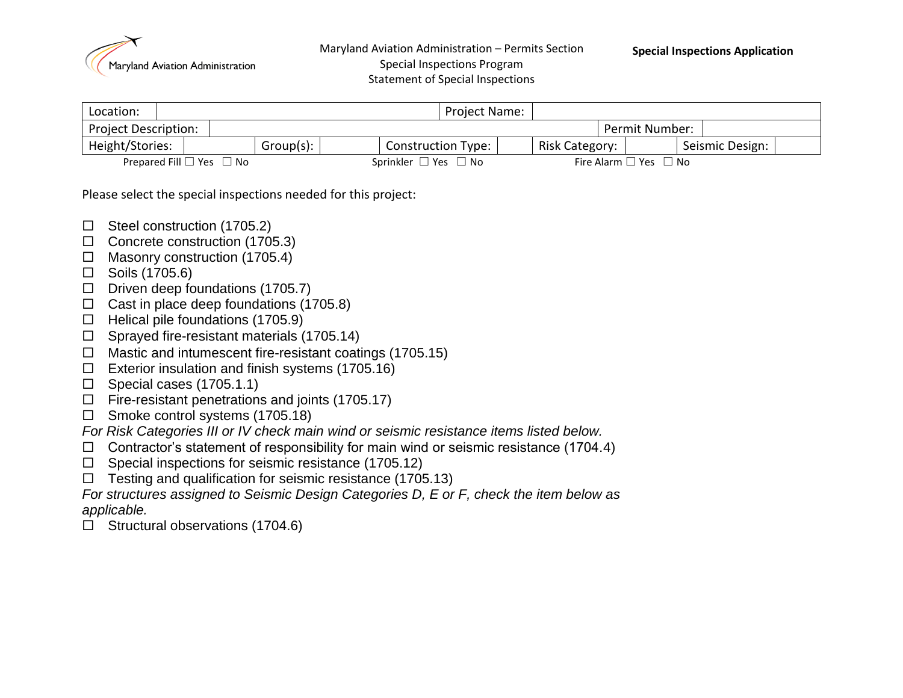

Maryland Aviation Administration – Permits Section Special Inspections Program Statement of Special Inspections

| Location:                   |                                    |           |                                | Project Name:             |                |                                       |                 |  |
|-----------------------------|------------------------------------|-----------|--------------------------------|---------------------------|----------------|---------------------------------------|-----------------|--|
| <b>Project Description:</b> |                                    |           |                                |                           |                | Permit Number:                        |                 |  |
| Height/Stories:             |                                    | Group(s): |                                | <b>Construction Type:</b> | Risk Category: |                                       | Seismic Design: |  |
|                             | Prepared Fill $\Box$ Yes $\Box$ No |           | Sprinkler $\Box$ Yes $\Box$ No |                           |                | Fire Alarm $\square$ Yes $\square$ No |                 |  |

Please select the special inspections needed for this project:

- $\Box$  Steel construction (1705.2)
- $\Box$  Concrete construction (1705.3)
- $\Box$  Masonry construction (1705.4)
- $\Box$  Soils (1705.6)
- $\Box$  Driven deep foundations (1705.7)
- $\Box$  Cast in place deep foundations (1705.8)
- $\Box$  Helical pile foundations (1705.9)
- $\Box$  Sprayed fire-resistant materials (1705.14)
- $\Box$  Mastic and intumescent fire-resistant coatings (1705.15)
- $\Box$  Exterior insulation and finish systems (1705.16)
- $\Box$  Special cases (1705.1.1)
- $\Box$  Fire-resistant penetrations and joints (1705.17)
- $\Box$  Smoke control systems (1705.18)
- *For Risk Categories III or IV check main wind or seismic resistance items listed below.*
- $\Box$  Contractor's statement of responsibility for main wind or seismic resistance (1704.4)
- $\Box$  Special inspections for seismic resistance (1705.12)
- $\Box$  Testing and qualification for seismic resistance (1705.13)

*For structures assigned to Seismic Design Categories D, E or F, check the item below as applicable.*

 $\Box$  Structural observations (1704.6)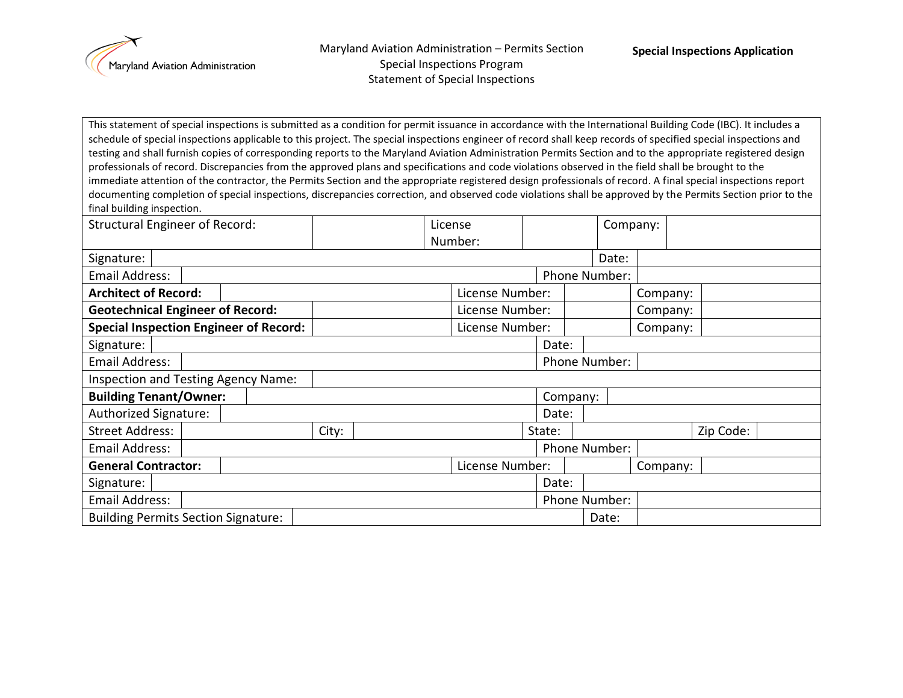

Maryland Aviation Administration – Permits Section Special Inspections Program Statement of Special Inspections

This statement of special inspections is submitted as a condition for permit issuance in accordance with the International Building Code (IBC). It includes a schedule of special inspections applicable to this project. The special inspections engineer of record shall keep records of specified special inspections and testing and shall furnish copies of corresponding reports to the Maryland Aviation Administration Permits Section and to the appropriate registered design professionals of record. Discrepancies from the approved plans and specifications and code violations observed in the field shall be brought to the immediate attention of the contractor, the Permits Section and the appropriate registered design professionals of record. A final special inspections report documenting completion of special inspections, discrepancies correction, and observed code violations shall be approved by the Permits Section prior to the final building inspection.

| <b>Structural Engineer of Record:</b>         |  |  | License |                 |                 |          | Company:      |               |          |           |  |
|-----------------------------------------------|--|--|---------|-----------------|-----------------|----------|---------------|---------------|----------|-----------|--|
|                                               |  |  |         |                 | Number:         |          |               |               |          |           |  |
| Signature:                                    |  |  |         |                 |                 |          |               | Date:         |          |           |  |
| Email Address:                                |  |  |         |                 |                 |          |               | Phone Number: |          |           |  |
| <b>Architect of Record:</b>                   |  |  |         | License Number: |                 |          |               | Company:      |          |           |  |
| <b>Geotechnical Engineer of Record:</b>       |  |  |         | License Number: |                 |          |               | Company:      |          |           |  |
| <b>Special Inspection Engineer of Record:</b> |  |  |         |                 | License Number: |          |               |               | Company: |           |  |
| Signature:                                    |  |  |         |                 |                 |          | Date:         |               |          |           |  |
| Email Address:                                |  |  |         |                 |                 |          |               | Phone Number: |          |           |  |
| Inspection and Testing Agency Name:           |  |  |         |                 |                 |          |               |               |          |           |  |
| <b>Building Tenant/Owner:</b>                 |  |  |         |                 |                 | Company: |               |               |          |           |  |
| Authorized Signature:                         |  |  |         |                 |                 |          | Date:         |               |          |           |  |
| <b>Street Address:</b>                        |  |  | City:   |                 |                 |          | State:        |               |          | Zip Code: |  |
| Email Address:                                |  |  |         |                 |                 |          |               | Phone Number: |          |           |  |
| <b>General Contractor:</b>                    |  |  |         |                 | License Number: |          |               |               | Company: |           |  |
| Signature:                                    |  |  |         |                 |                 |          | Date:         |               |          |           |  |
| Email Address:                                |  |  |         |                 |                 |          | Phone Number: |               |          |           |  |
| <b>Building Permits Section Signature:</b>    |  |  |         |                 | Date:           |          |               |               |          |           |  |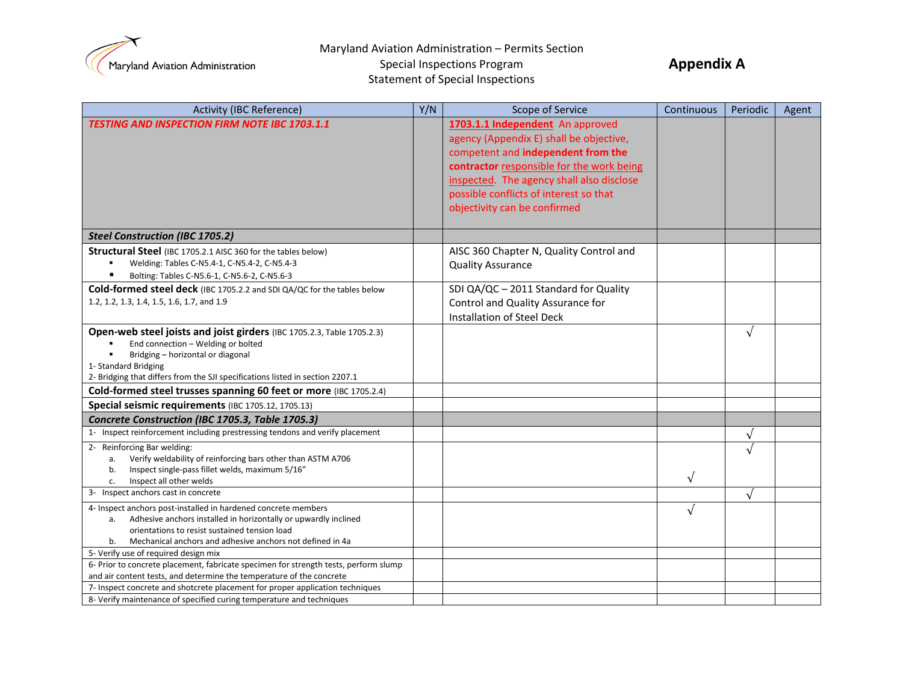

**Appendix A**

Special Inspections Program Statement of Special Inspections

| <b>Activity (IBC Reference)</b>                                                                                                                              | Y/N | <b>Scope of Service</b>                   | Continuous | Periodic   | Agent |
|--------------------------------------------------------------------------------------------------------------------------------------------------------------|-----|-------------------------------------------|------------|------------|-------|
| <b>TESTING AND INSPECTION FIRM NOTE IBC 1703.1.1</b>                                                                                                         |     | 1703.1.1 Independent An approved          |            |            |       |
|                                                                                                                                                              |     | agency (Appendix E) shall be objective,   |            |            |       |
|                                                                                                                                                              |     | competent and independent from the        |            |            |       |
|                                                                                                                                                              |     | contractor responsible for the work being |            |            |       |
|                                                                                                                                                              |     | inspected. The agency shall also disclose |            |            |       |
|                                                                                                                                                              |     | possible conflicts of interest so that    |            |            |       |
|                                                                                                                                                              |     | objectivity can be confirmed              |            |            |       |
|                                                                                                                                                              |     |                                           |            |            |       |
| <b>Steel Construction (IBC 1705.2)</b>                                                                                                                       |     |                                           |            |            |       |
| Structural Steel (IBC 1705.2.1 AISC 360 for the tables below)                                                                                                |     | AISC 360 Chapter N, Quality Control and   |            |            |       |
| Welding: Tables C-N5.4-1, C-N5.4-2, C-N5.4-3                                                                                                                 |     | <b>Quality Assurance</b>                  |            |            |       |
| Bolting: Tables C-N5.6-1, C-N5.6-2, C-N5.6-3                                                                                                                 |     |                                           |            |            |       |
| <b>Cold-formed steel deck</b> (IBC 1705.2.2 and SDI QA/QC for the tables below                                                                               |     | SDI QA/QC - 2011 Standard for Quality     |            |            |       |
| 1.2, 1.2, 1.3, 1.4, 1.5, 1.6, 1.7, and 1.9                                                                                                                   |     | Control and Quality Assurance for         |            |            |       |
|                                                                                                                                                              |     | Installation of Steel Deck                |            |            |       |
| Open-web steel joists and joist girders (IBC 1705.2.3, Table 1705.2.3)                                                                                       |     |                                           |            | $\sqrt{ }$ |       |
| End connection - Welding or bolted                                                                                                                           |     |                                           |            |            |       |
| Bridging - horizontal or diagonal                                                                                                                            |     |                                           |            |            |       |
| 1- Standard Bridging                                                                                                                                         |     |                                           |            |            |       |
| 2- Bridging that differs from the SJI specifications listed in section 2207.1                                                                                |     |                                           |            |            |       |
| Cold-formed steel trusses spanning 60 feet or more (IBC 1705.2.4)                                                                                            |     |                                           |            |            |       |
| Special seismic requirements (IBC 1705.12, 1705.13)                                                                                                          |     |                                           |            |            |       |
| Concrete Construction (IBC 1705.3, Table 1705.3)                                                                                                             |     |                                           |            |            |       |
| 1- Inspect reinforcement including prestressing tendons and verify placement                                                                                 |     |                                           |            | $\sqrt{}$  |       |
| 2- Reinforcing Bar welding:                                                                                                                                  |     |                                           |            | $\sqrt{ }$ |       |
| Verify weldability of reinforcing bars other than ASTM A706<br>a.                                                                                            |     |                                           |            |            |       |
| Inspect single-pass fillet welds, maximum 5/16"<br>b.<br>Inspect all other welds<br>c.                                                                       |     |                                           | $\sqrt{ }$ |            |       |
| 3- Inspect anchors cast in concrete                                                                                                                          |     |                                           |            | $\sqrt{}$  |       |
| 4- Inspect anchors post-installed in hardened concrete members                                                                                               |     |                                           | $\sqrt{ }$ |            |       |
| Adhesive anchors installed in horizontally or upwardly inclined<br>а.                                                                                        |     |                                           |            |            |       |
| orientations to resist sustained tension load                                                                                                                |     |                                           |            |            |       |
| Mechanical anchors and adhesive anchors not defined in 4a<br>b.                                                                                              |     |                                           |            |            |       |
| 5- Verify use of required design mix                                                                                                                         |     |                                           |            |            |       |
| 6- Prior to concrete placement, fabricate specimen for strength tests, perform slump<br>and air content tests, and determine the temperature of the concrete |     |                                           |            |            |       |
| 7- Inspect concrete and shotcrete placement for proper application techniques                                                                                |     |                                           |            |            |       |
| 8- Verify maintenance of specified curing temperature and techniques                                                                                         |     |                                           |            |            |       |
|                                                                                                                                                              |     |                                           |            |            |       |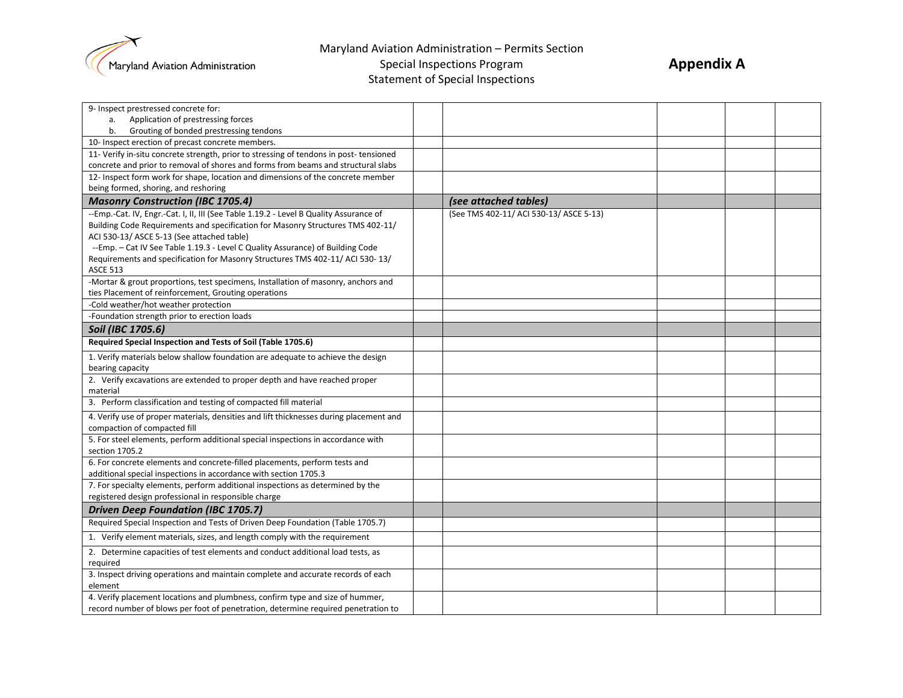

Special Inspections Program Statement of Special Inspections

| 9- Inspect prestressed concrete for:                                                   |                                         |  |  |
|----------------------------------------------------------------------------------------|-----------------------------------------|--|--|
| Application of prestressing forces<br>a.                                               |                                         |  |  |
| Grouting of bonded prestressing tendons<br>b.                                          |                                         |  |  |
| 10- Inspect erection of precast concrete members.                                      |                                         |  |  |
| 11- Verify in-situ concrete strength, prior to stressing of tendons in post-tensioned  |                                         |  |  |
| concrete and prior to removal of shores and forms from beams and structural slabs      |                                         |  |  |
| 12- Inspect form work for shape, location and dimensions of the concrete member        |                                         |  |  |
| being formed, shoring, and reshoring                                                   |                                         |  |  |
| <b>Masonry Construction (IBC 1705.4)</b>                                               | (see attached tables)                   |  |  |
| --Emp.-Cat. IV, Engr.-Cat. I, II, III (See Table 1.19.2 - Level B Quality Assurance of | (See TMS 402-11/ ACI 530-13/ ASCE 5-13) |  |  |
| Building Code Requirements and specification for Masonry Structures TMS 402-11/        |                                         |  |  |
| ACI 530-13/ASCE 5-13 (See attached table)                                              |                                         |  |  |
| --Emp. - Cat IV See Table 1.19.3 - Level C Quality Assurance) of Building Code         |                                         |  |  |
| Requirements and specification for Masonry Structures TMS 402-11/ ACI 530-13/          |                                         |  |  |
| <b>ASCE 513</b>                                                                        |                                         |  |  |
| -Mortar & grout proportions, test specimens, Installation of masonry, anchors and      |                                         |  |  |
| ties Placement of reinforcement, Grouting operations                                   |                                         |  |  |
| -Cold weather/hot weather protection                                                   |                                         |  |  |
| -Foundation strength prior to erection loads                                           |                                         |  |  |
| Soil (IBC 1705.6)                                                                      |                                         |  |  |
| Required Special Inspection and Tests of Soil (Table 1705.6)                           |                                         |  |  |
| 1. Verify materials below shallow foundation are adequate to achieve the design        |                                         |  |  |
| bearing capacity                                                                       |                                         |  |  |
| 2. Verify excavations are extended to proper depth and have reached proper             |                                         |  |  |
| material                                                                               |                                         |  |  |
| 3. Perform classification and testing of compacted fill material                       |                                         |  |  |
| 4. Verify use of proper materials, densities and lift thicknesses during placement and |                                         |  |  |
| compaction of compacted fill                                                           |                                         |  |  |
| 5. For steel elements, perform additional special inspections in accordance with       |                                         |  |  |
| section 1705.2                                                                         |                                         |  |  |
| 6. For concrete elements and concrete-filled placements, perform tests and             |                                         |  |  |
| additional special inspections in accordance with section 1705.3                       |                                         |  |  |
| 7. For specialty elements, perform additional inspections as determined by the         |                                         |  |  |
| registered design professional in responsible charge                                   |                                         |  |  |
| <b>Driven Deep Foundation (IBC 1705.7)</b>                                             |                                         |  |  |
| Required Special Inspection and Tests of Driven Deep Foundation (Table 1705.7)         |                                         |  |  |
| 1. Verify element materials, sizes, and length comply with the requirement             |                                         |  |  |
| 2. Determine capacities of test elements and conduct additional load tests, as         |                                         |  |  |
| required                                                                               |                                         |  |  |
| 3. Inspect driving operations and maintain complete and accurate records of each       |                                         |  |  |
| element                                                                                |                                         |  |  |
| 4. Verify placement locations and plumbness, confirm type and size of hummer,          |                                         |  |  |
| record number of blows per foot of penetration, determine required penetration to      |                                         |  |  |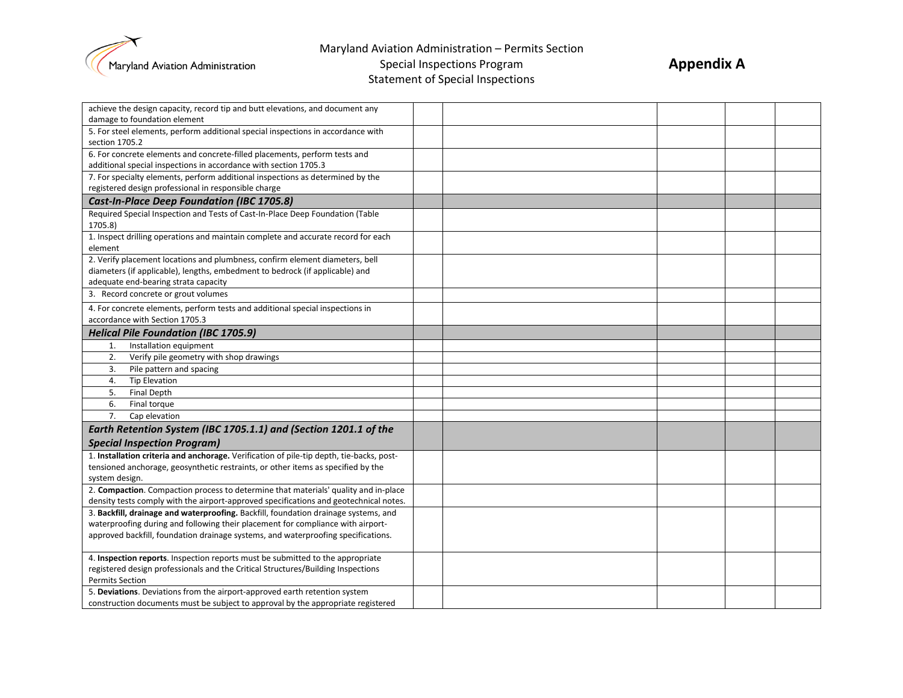

**Appendix A**

Special Inspections Program Statement of Special Inspections

| achieve the design capacity, record tip and butt elevations, and document any            |  |  |  |
|------------------------------------------------------------------------------------------|--|--|--|
| damage to foundation element                                                             |  |  |  |
| 5. For steel elements, perform additional special inspections in accordance with         |  |  |  |
| section 1705.2                                                                           |  |  |  |
| 6. For concrete elements and concrete-filled placements, perform tests and               |  |  |  |
| additional special inspections in accordance with section 1705.3                         |  |  |  |
| 7. For specialty elements, perform additional inspections as determined by the           |  |  |  |
| registered design professional in responsible charge                                     |  |  |  |
| Cast-In-Place Deep Foundation (IBC 1705.8)                                               |  |  |  |
| Required Special Inspection and Tests of Cast-In-Place Deep Foundation (Table            |  |  |  |
| 1705.8)                                                                                  |  |  |  |
| 1. Inspect drilling operations and maintain complete and accurate record for each        |  |  |  |
| element                                                                                  |  |  |  |
| 2. Verify placement locations and plumbness, confirm element diameters, bell             |  |  |  |
| diameters (if applicable), lengths, embedment to bedrock (if applicable) and             |  |  |  |
| adequate end-bearing strata capacity                                                     |  |  |  |
| 3. Record concrete or grout volumes                                                      |  |  |  |
| 4. For concrete elements, perform tests and additional special inspections in            |  |  |  |
| accordance with Section 1705.3                                                           |  |  |  |
| <b>Helical Pile Foundation (IBC 1705.9)</b>                                              |  |  |  |
| Installation equipment<br>1.                                                             |  |  |  |
| 2.<br>Verify pile geometry with shop drawings                                            |  |  |  |
| Pile pattern and spacing<br>3.                                                           |  |  |  |
| <b>Tip Elevation</b><br>4.                                                               |  |  |  |
| <b>Final Depth</b><br>5.                                                                 |  |  |  |
| 6.<br>Final torque                                                                       |  |  |  |
| 7.<br>Cap elevation                                                                      |  |  |  |
| Earth Retention System (IBC 1705.1.1) and (Section 1201.1 of the                         |  |  |  |
| <b>Special Inspection Program)</b>                                                       |  |  |  |
| 1. Installation criteria and anchorage. Verification of pile-tip depth, tie-backs, post- |  |  |  |
| tensioned anchorage, geosynthetic restraints, or other items as specified by the         |  |  |  |
| system design.                                                                           |  |  |  |
| 2. Compaction. Compaction process to determine that materials' quality and in-place      |  |  |  |
| density tests comply with the airport-approved specifications and geotechnical notes.    |  |  |  |
| 3. Backfill, drainage and waterproofing. Backfill, foundation drainage systems, and      |  |  |  |
| waterproofing during and following their placement for compliance with airport-          |  |  |  |
| approved backfill, foundation drainage systems, and waterproofing specifications.        |  |  |  |
|                                                                                          |  |  |  |
| 4. Inspection reports. Inspection reports must be submitted to the appropriate           |  |  |  |
| registered design professionals and the Critical Structures/Building Inspections         |  |  |  |
| <b>Permits Section</b>                                                                   |  |  |  |
| 5. Deviations. Deviations from the airport-approved earth retention system               |  |  |  |
| construction documents must be subject to approval by the appropriate registered         |  |  |  |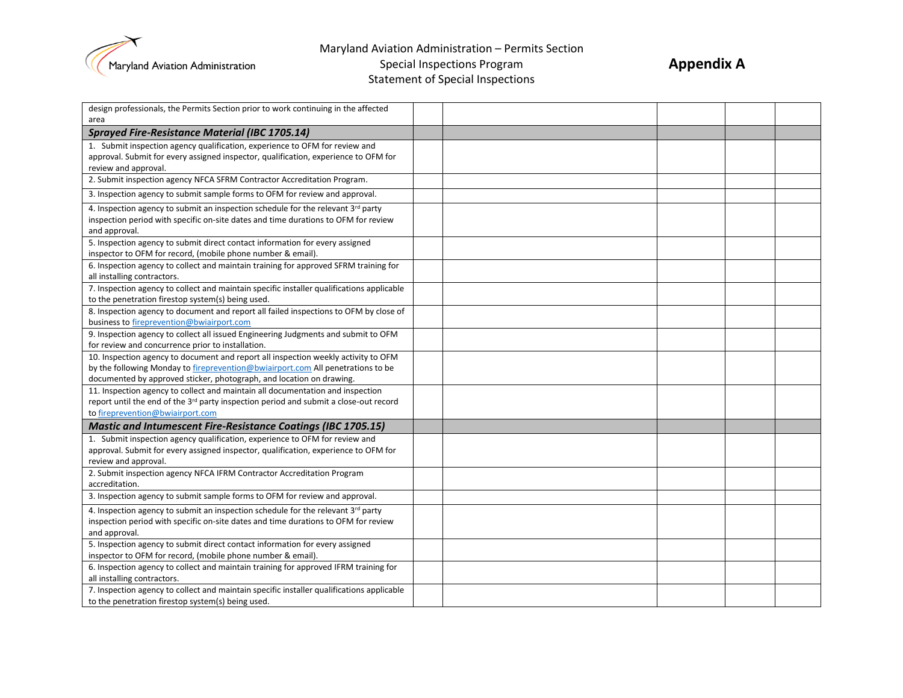

Special Inspections Program Statement of Special Inspections

| design professionals, the Permits Section prior to work continuing in the affected                                                                     |  |  |  |
|--------------------------------------------------------------------------------------------------------------------------------------------------------|--|--|--|
| area                                                                                                                                                   |  |  |  |
| <b>Sprayed Fire-Resistance Material (IBC 1705.14)</b>                                                                                                  |  |  |  |
| 1. Submit inspection agency qualification, experience to OFM for review and                                                                            |  |  |  |
| approval. Submit for every assigned inspector, qualification, experience to OFM for                                                                    |  |  |  |
| review and approval.                                                                                                                                   |  |  |  |
| 2. Submit inspection agency NFCA SFRM Contractor Accreditation Program.                                                                                |  |  |  |
| 3. Inspection agency to submit sample forms to OFM for review and approval.                                                                            |  |  |  |
| 4. Inspection agency to submit an inspection schedule for the relevant 3rd party                                                                       |  |  |  |
| inspection period with specific on-site dates and time durations to OFM for review                                                                     |  |  |  |
| and approval.                                                                                                                                          |  |  |  |
| 5. Inspection agency to submit direct contact information for every assigned<br>inspector to OFM for record, (mobile phone number & email).            |  |  |  |
| 6. Inspection agency to collect and maintain training for approved SFRM training for                                                                   |  |  |  |
| all installing contractors.                                                                                                                            |  |  |  |
| 7. Inspection agency to collect and maintain specific installer qualifications applicable                                                              |  |  |  |
| to the penetration firestop system(s) being used.                                                                                                      |  |  |  |
| 8. Inspection agency to document and report all failed inspections to OFM by close of                                                                  |  |  |  |
| business to fireprevention@bwiairport.com                                                                                                              |  |  |  |
| 9. Inspection agency to collect all issued Engineering Judgments and submit to OFM                                                                     |  |  |  |
| for review and concurrence prior to installation.                                                                                                      |  |  |  |
| 10. Inspection agency to document and report all inspection weekly activity to OFM                                                                     |  |  |  |
| by the following Monday to fireprevention@bwiairport.com All penetrations to be                                                                        |  |  |  |
| documented by approved sticker, photograph, and location on drawing.<br>11. Inspection agency to collect and maintain all documentation and inspection |  |  |  |
| report until the end of the 3 <sup>rd</sup> party inspection period and submit a close-out record                                                      |  |  |  |
| to fireprevention@bwiairport.com                                                                                                                       |  |  |  |
| <b>Mastic and Intumescent Fire-Resistance Coatings (IBC 1705.15)</b>                                                                                   |  |  |  |
| 1. Submit inspection agency qualification, experience to OFM for review and                                                                            |  |  |  |
| approval. Submit for every assigned inspector, qualification, experience to OFM for                                                                    |  |  |  |
| review and approval.                                                                                                                                   |  |  |  |
| 2. Submit inspection agency NFCA IFRM Contractor Accreditation Program                                                                                 |  |  |  |
| accreditation.                                                                                                                                         |  |  |  |
| 3. Inspection agency to submit sample forms to OFM for review and approval.                                                                            |  |  |  |
| 4. Inspection agency to submit an inspection schedule for the relevant 3rd party                                                                       |  |  |  |
| inspection period with specific on-site dates and time durations to OFM for review                                                                     |  |  |  |
| and approval.                                                                                                                                          |  |  |  |
| 5. Inspection agency to submit direct contact information for every assigned                                                                           |  |  |  |
| inspector to OFM for record, (mobile phone number & email).                                                                                            |  |  |  |
| 6. Inspection agency to collect and maintain training for approved IFRM training for                                                                   |  |  |  |
| all installing contractors.<br>7. Inspection agency to collect and maintain specific installer qualifications applicable                               |  |  |  |
| to the penetration firestop system(s) being used.                                                                                                      |  |  |  |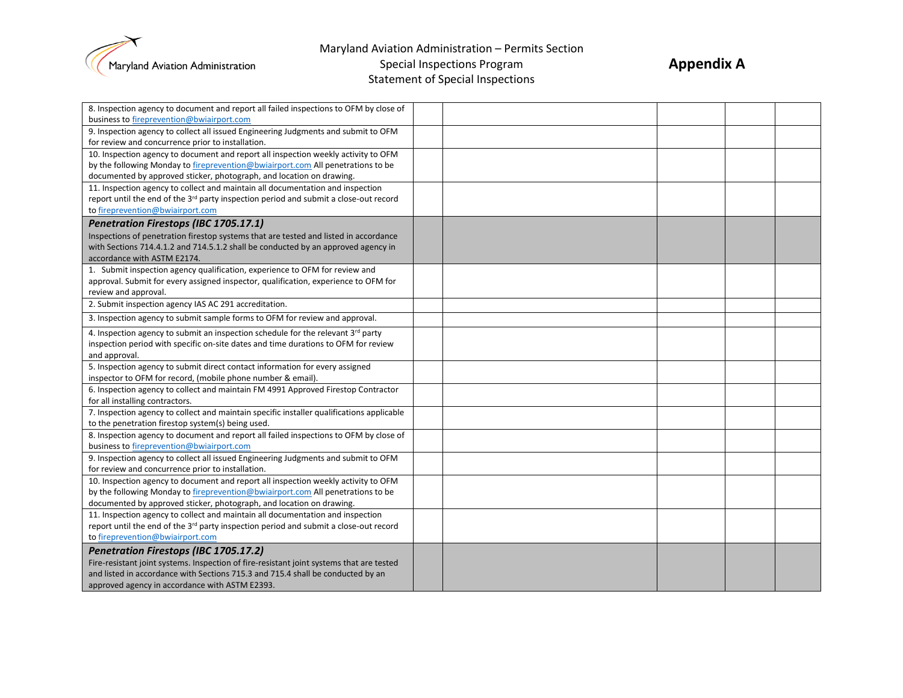

Special Inspections Program Statement of Special Inspections

| 8. Inspection agency to document and report all failed inspections to OFM by close of             |  |  |  |
|---------------------------------------------------------------------------------------------------|--|--|--|
| business to fireprevention@bwiairport.com                                                         |  |  |  |
| 9. Inspection agency to collect all issued Engineering Judgments and submit to OFM                |  |  |  |
| for review and concurrence prior to installation.                                                 |  |  |  |
| 10. Inspection agency to document and report all inspection weekly activity to OFM                |  |  |  |
| by the following Monday to fireprevention@bwiairport.com All penetrations to be                   |  |  |  |
| documented by approved sticker, photograph, and location on drawing.                              |  |  |  |
| 11. Inspection agency to collect and maintain all documentation and inspection                    |  |  |  |
| report until the end of the 3 <sup>rd</sup> party inspection period and submit a close-out record |  |  |  |
| to fireprevention@bwiairport.com                                                                  |  |  |  |
| Penetration Firestops (IBC 1705.17.1)                                                             |  |  |  |
| Inspections of penetration firestop systems that are tested and listed in accordance              |  |  |  |
| with Sections 714.4.1.2 and 714.5.1.2 shall be conducted by an approved agency in                 |  |  |  |
| accordance with ASTM E2174.                                                                       |  |  |  |
| 1. Submit inspection agency qualification, experience to OFM for review and                       |  |  |  |
| approval. Submit for every assigned inspector, qualification, experience to OFM for               |  |  |  |
| review and approval.                                                                              |  |  |  |
| 2. Submit inspection agency IAS AC 291 accreditation.                                             |  |  |  |
| 3. Inspection agency to submit sample forms to OFM for review and approval.                       |  |  |  |
| 4. Inspection agency to submit an inspection schedule for the relevant 3rd party                  |  |  |  |
| inspection period with specific on-site dates and time durations to OFM for review                |  |  |  |
| and approval.                                                                                     |  |  |  |
| 5. Inspection agency to submit direct contact information for every assigned                      |  |  |  |
| inspector to OFM for record, (mobile phone number & email).                                       |  |  |  |
| 6. Inspection agency to collect and maintain FM 4991 Approved Firestop Contractor                 |  |  |  |
| for all installing contractors.                                                                   |  |  |  |
| 7. Inspection agency to collect and maintain specific installer qualifications applicable         |  |  |  |
| to the penetration firestop system(s) being used.                                                 |  |  |  |
| 8. Inspection agency to document and report all failed inspections to OFM by close of             |  |  |  |
| business to fireprevention@bwiairport.com                                                         |  |  |  |
| 9. Inspection agency to collect all issued Engineering Judgments and submit to OFM                |  |  |  |
| for review and concurrence prior to installation.                                                 |  |  |  |
| 10. Inspection agency to document and report all inspection weekly activity to OFM                |  |  |  |
| by the following Monday to fireprevention@bwiairport.com All penetrations to be                   |  |  |  |
| documented by approved sticker, photograph, and location on drawing.                              |  |  |  |
| 11. Inspection agency to collect and maintain all documentation and inspection                    |  |  |  |
| report until the end of the 3 <sup>rd</sup> party inspection period and submit a close-out record |  |  |  |
| to fireprevention@bwiairport.com                                                                  |  |  |  |
| Penetration Firestops (IBC 1705.17.2)                                                             |  |  |  |
| Fire-resistant joint systems. Inspection of fire-resistant joint systems that are tested          |  |  |  |
| and listed in accordance with Sections 715.3 and 715.4 shall be conducted by an                   |  |  |  |
| approved agency in accordance with ASTM E2393.                                                    |  |  |  |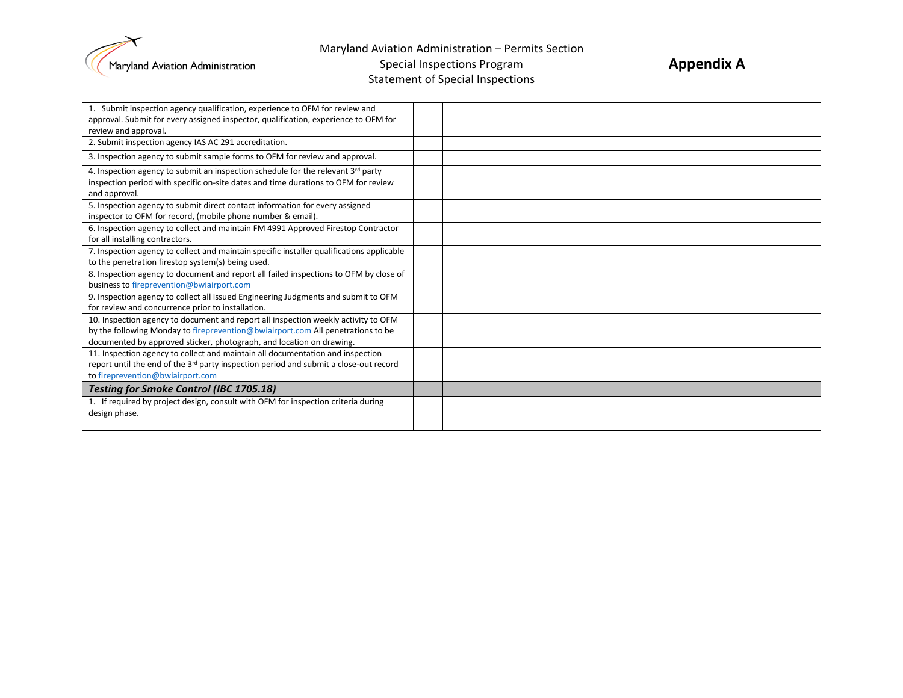

Special Inspections Program Statement of Special Inspections

| 1. Submit inspection agency qualification, experience to OFM for review and<br>approval. Submit for every assigned inspector, qualification, experience to OFM for                                                                            |  |  |  |
|-----------------------------------------------------------------------------------------------------------------------------------------------------------------------------------------------------------------------------------------------|--|--|--|
| review and approval.                                                                                                                                                                                                                          |  |  |  |
| 2. Submit inspection agency IAS AC 291 accreditation.                                                                                                                                                                                         |  |  |  |
| 3. Inspection agency to submit sample forms to OFM for review and approval.                                                                                                                                                                   |  |  |  |
| 4. Inspection agency to submit an inspection schedule for the relevant 3rd party<br>inspection period with specific on-site dates and time durations to OFM for review<br>and approval.                                                       |  |  |  |
| 5. Inspection agency to submit direct contact information for every assigned<br>inspector to OFM for record, (mobile phone number & email).                                                                                                   |  |  |  |
| 6. Inspection agency to collect and maintain FM 4991 Approved Firestop Contractor<br>for all installing contractors.                                                                                                                          |  |  |  |
| 7. Inspection agency to collect and maintain specific installer qualifications applicable<br>to the penetration firestop system(s) being used.                                                                                                |  |  |  |
| 8. Inspection agency to document and report all failed inspections to OFM by close of<br>business to fireprevention@bwiairport.com                                                                                                            |  |  |  |
| 9. Inspection agency to collect all issued Engineering Judgments and submit to OFM<br>for review and concurrence prior to installation.                                                                                                       |  |  |  |
| 10. Inspection agency to document and report all inspection weekly activity to OFM<br>by the following Monday to fireprevention@bwiairport.com All penetrations to be<br>documented by approved sticker, photograph, and location on drawing. |  |  |  |
| 11. Inspection agency to collect and maintain all documentation and inspection<br>report until the end of the 3 <sup>rd</sup> party inspection period and submit a close-out record<br>to fireprevention@bwiairport.com                       |  |  |  |
| <b>Testing for Smoke Control (IBC 1705.18)</b>                                                                                                                                                                                                |  |  |  |
| 1. If required by project design, consult with OFM for inspection criteria during<br>design phase.                                                                                                                                            |  |  |  |
|                                                                                                                                                                                                                                               |  |  |  |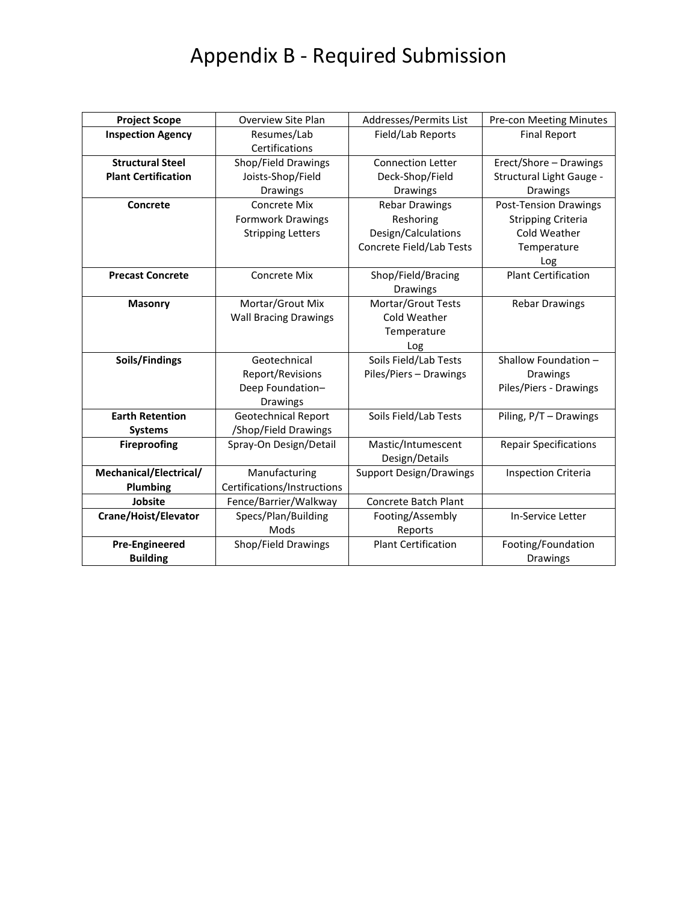# Appendix B - Required Submission

| <b>Project Scope</b>       | <b>Overview Site Plan</b>    | Addresses/Permits List         | Pre-con Meeting Minutes      |  |  |
|----------------------------|------------------------------|--------------------------------|------------------------------|--|--|
| <b>Inspection Agency</b>   | Resumes/Lab                  | Field/Lab Reports              | <b>Final Report</b>          |  |  |
|                            | Certifications               |                                |                              |  |  |
| <b>Structural Steel</b>    | Shop/Field Drawings          | <b>Connection Letter</b>       | Erect/Shore - Drawings       |  |  |
| <b>Plant Certification</b> | Joists-Shop/Field            | Deck-Shop/Field                | Structural Light Gauge -     |  |  |
|                            | Drawings                     | Drawings                       | <b>Drawings</b>              |  |  |
| Concrete                   | Concrete Mix                 | <b>Rebar Drawings</b>          | <b>Post-Tension Drawings</b> |  |  |
|                            | Formwork Drawings            | Reshoring                      | <b>Stripping Criteria</b>    |  |  |
|                            | <b>Stripping Letters</b>     | Design/Calculations            | Cold Weather                 |  |  |
|                            |                              | Concrete Field/Lab Tests       | Temperature                  |  |  |
|                            |                              |                                | Log                          |  |  |
| <b>Precast Concrete</b>    | <b>Concrete Mix</b>          | Shop/Field/Bracing             | <b>Plant Certification</b>   |  |  |
|                            |                              | Drawings                       |                              |  |  |
| <b>Masonry</b>             | Mortar/Grout Mix             | Mortar/Grout Tests             | <b>Rebar Drawings</b>        |  |  |
|                            | <b>Wall Bracing Drawings</b> | Cold Weather                   |                              |  |  |
|                            |                              | Temperature                    |                              |  |  |
|                            |                              | Log                            |                              |  |  |
| Soils/Findings             | Geotechnical                 | Soils Field/Lab Tests          | Shallow Foundation -         |  |  |
|                            | Report/Revisions             | Piles/Piers - Drawings         | <b>Drawings</b>              |  |  |
|                            | Deep Foundation-             |                                | Piles/Piers - Drawings       |  |  |
|                            | Drawings                     |                                |                              |  |  |
| <b>Earth Retention</b>     | <b>Geotechnical Report</b>   | Soils Field/Lab Tests          | Piling, P/T - Drawings       |  |  |
| <b>Systems</b>             | /Shop/Field Drawings         |                                |                              |  |  |
| <b>Fireproofing</b>        | Spray-On Design/Detail       | Mastic/Intumescent             | <b>Repair Specifications</b> |  |  |
|                            |                              | Design/Details                 |                              |  |  |
| Mechanical/Electrical/     | Manufacturing                | <b>Support Design/Drawings</b> | <b>Inspection Criteria</b>   |  |  |
| <b>Plumbing</b>            | Certifications/Instructions  |                                |                              |  |  |
| Jobsite                    | Fence/Barrier/Walkway        | <b>Concrete Batch Plant</b>    |                              |  |  |
| Crane/Hoist/Elevator       | Specs/Plan/Building          | Footing/Assembly               | In-Service Letter            |  |  |
|                            | Mods                         | Reports                        |                              |  |  |
| <b>Pre-Engineered</b>      | Shop/Field Drawings          | <b>Plant Certification</b>     | Footing/Foundation           |  |  |
| <b>Building</b>            |                              |                                | <b>Drawings</b>              |  |  |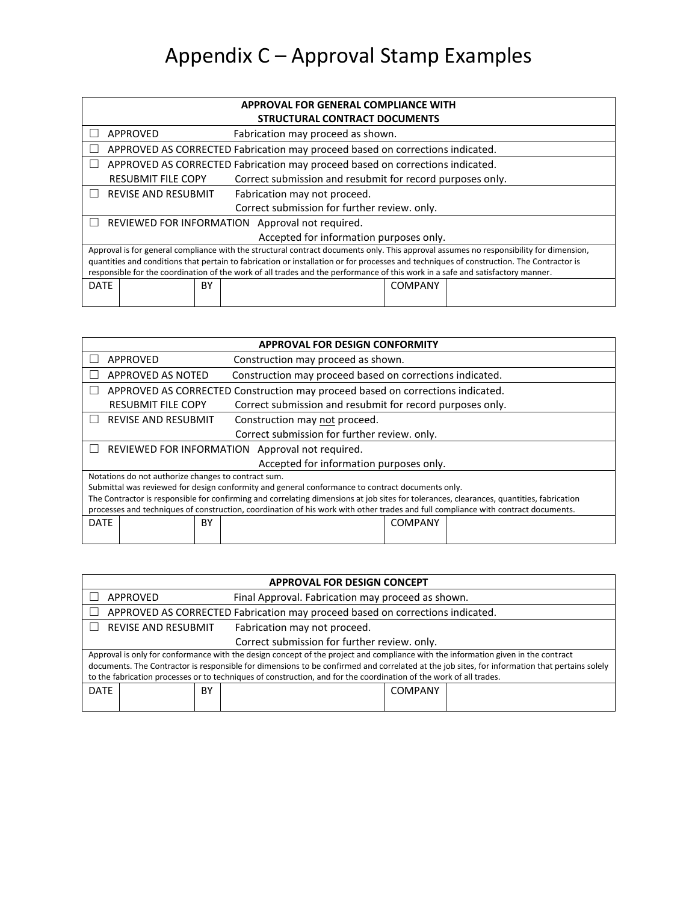# Appendix C – Approval Stamp Examples

| APPROVAL FOR GENERAL COMPLIANCE WITH                                                   |                                                            |    |                                                                                                                                          |                |  |  |  |  |
|----------------------------------------------------------------------------------------|------------------------------------------------------------|----|------------------------------------------------------------------------------------------------------------------------------------------|----------------|--|--|--|--|
| STRUCTURAL CONTRACT DOCUMENTS                                                          |                                                            |    |                                                                                                                                          |                |  |  |  |  |
|                                                                                        | APPROVED<br>Fabrication may proceed as shown.              |    |                                                                                                                                          |                |  |  |  |  |
| APPROVED AS CORRECTED Fabrication may proceed based on corrections indicated.          |                                                            |    |                                                                                                                                          |                |  |  |  |  |
| APPROVED AS CORRECTED Fabrication may proceed based on corrections indicated.          |                                                            |    |                                                                                                                                          |                |  |  |  |  |
| Correct submission and resubmit for record purposes only.<br><b>RESUBMIT FILE COPY</b> |                                                            |    |                                                                                                                                          |                |  |  |  |  |
|                                                                                        | <b>REVISE AND RESUBMIT</b><br>Fabrication may not proceed. |    |                                                                                                                                          |                |  |  |  |  |
|                                                                                        | Correct submission for further review. only.               |    |                                                                                                                                          |                |  |  |  |  |
|                                                                                        |                                                            |    | REVIEWED FOR INFORMATION Approval not required.                                                                                          |                |  |  |  |  |
|                                                                                        |                                                            |    | Accepted for information purposes only.                                                                                                  |                |  |  |  |  |
|                                                                                        |                                                            |    | Approval is for general compliance with the structural contract documents only. This approval assumes no responsibility for dimension,   |                |  |  |  |  |
|                                                                                        |                                                            |    | quantities and conditions that pertain to fabrication or installation or for processes and techniques of construction. The Contractor is |                |  |  |  |  |
|                                                                                        |                                                            |    | responsible for the coordination of the work of all trades and the performance of this work in a safe and satisfactory manner.           |                |  |  |  |  |
| <b>DATE</b>                                                                            |                                                            | BY |                                                                                                                                          | <b>COMPANY</b> |  |  |  |  |
|                                                                                        |                                                            |    |                                                                                                                                          |                |  |  |  |  |

| <b>APPROVAL FOR DESIGN CONFORMITY</b>                       |                                                                                        |    |  |                                                                                                  |                |                                                                                                                                          |  |
|-------------------------------------------------------------|----------------------------------------------------------------------------------------|----|--|--------------------------------------------------------------------------------------------------|----------------|------------------------------------------------------------------------------------------------------------------------------------------|--|
|                                                             | <b>APPROVED</b><br>Construction may proceed as shown.                                  |    |  |                                                                                                  |                |                                                                                                                                          |  |
|                                                             | Construction may proceed based on corrections indicated.<br>APPROVED AS NOTED          |    |  |                                                                                                  |                |                                                                                                                                          |  |
|                                                             | APPROVED AS CORRECTED Construction may proceed based on corrections indicated.         |    |  |                                                                                                  |                |                                                                                                                                          |  |
|                                                             | Correct submission and resubmit for record purposes only.<br><b>RESUBMIT FILE COPY</b> |    |  |                                                                                                  |                |                                                                                                                                          |  |
| <b>REVISE AND RESUBMIT</b><br>Construction may not proceed. |                                                                                        |    |  |                                                                                                  |                |                                                                                                                                          |  |
| Correct submission for further review. only.                |                                                                                        |    |  |                                                                                                  |                |                                                                                                                                          |  |
|                                                             | REVIEWED FOR INFORMATION Approval not required.                                        |    |  |                                                                                                  |                |                                                                                                                                          |  |
|                                                             |                                                                                        |    |  | Accepted for information purposes only.                                                          |                |                                                                                                                                          |  |
|                                                             | Notations do not authorize changes to contract sum.                                    |    |  |                                                                                                  |                |                                                                                                                                          |  |
|                                                             |                                                                                        |    |  | Submittal was reviewed for design conformity and general conformance to contract documents only. |                |                                                                                                                                          |  |
|                                                             |                                                                                        |    |  |                                                                                                  |                | The Contractor is responsible for confirming and correlating dimensions at job sites for tolerances, clearances, quantities, fabrication |  |
|                                                             |                                                                                        |    |  |                                                                                                  |                | processes and techniques of construction, coordination of his work with other trades and full compliance with contract documents.        |  |
| <b>DATE</b>                                                 |                                                                                        | BY |  |                                                                                                  | <b>COMPANY</b> |                                                                                                                                          |  |
|                                                             |                                                                                        |    |  |                                                                                                  |                |                                                                                                                                          |  |

| <b>APPROVAL FOR DESIGN CONCEPT</b>                                                                                                                                                                                                                                                                                                                                                                       |                                                               |    |  |                |  |  |  |
|----------------------------------------------------------------------------------------------------------------------------------------------------------------------------------------------------------------------------------------------------------------------------------------------------------------------------------------------------------------------------------------------------------|---------------------------------------------------------------|----|--|----------------|--|--|--|
|                                                                                                                                                                                                                                                                                                                                                                                                          | Final Approval. Fabrication may proceed as shown.<br>APPROVED |    |  |                |  |  |  |
| APPROVED AS CORRECTED Fabrication may proceed based on corrections indicated.                                                                                                                                                                                                                                                                                                                            |                                                               |    |  |                |  |  |  |
|                                                                                                                                                                                                                                                                                                                                                                                                          | <b>REVISE AND RESUBMIT</b><br>Fabrication may not proceed.    |    |  |                |  |  |  |
|                                                                                                                                                                                                                                                                                                                                                                                                          | Correct submission for further review. only.                  |    |  |                |  |  |  |
| Approval is only for conformance with the design concept of the project and compliance with the information given in the contract<br>documents. The Contractor is responsible for dimensions to be confirmed and correlated at the job sites, for information that pertains solely<br>to the fabrication processes or to techniques of construction, and for the coordination of the work of all trades. |                                                               |    |  |                |  |  |  |
| <b>DATE</b>                                                                                                                                                                                                                                                                                                                                                                                              |                                                               | ΒY |  | <b>COMPANY</b> |  |  |  |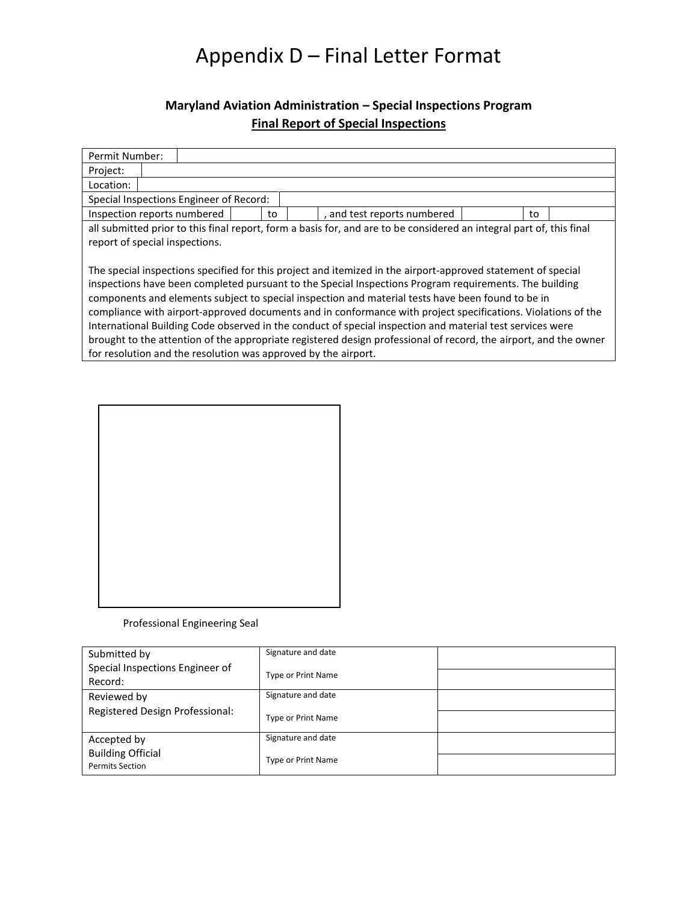## Appendix D – Final Letter Format

### **Maryland Aviation Administration – Special Inspections Program Final Report of Special Inspections**

| Permit Number:                                                                                                                                                                                                                                                                                                                                                                                                                                                                                                                                                                                                                                                                                                                                 |  |  |  |    |  |                             |    |  |
|------------------------------------------------------------------------------------------------------------------------------------------------------------------------------------------------------------------------------------------------------------------------------------------------------------------------------------------------------------------------------------------------------------------------------------------------------------------------------------------------------------------------------------------------------------------------------------------------------------------------------------------------------------------------------------------------------------------------------------------------|--|--|--|----|--|-----------------------------|----|--|
| Project:                                                                                                                                                                                                                                                                                                                                                                                                                                                                                                                                                                                                                                                                                                                                       |  |  |  |    |  |                             |    |  |
| Location:                                                                                                                                                                                                                                                                                                                                                                                                                                                                                                                                                                                                                                                                                                                                      |  |  |  |    |  |                             |    |  |
| Special Inspections Engineer of Record:                                                                                                                                                                                                                                                                                                                                                                                                                                                                                                                                                                                                                                                                                                        |  |  |  |    |  |                             |    |  |
| Inspection reports numbered                                                                                                                                                                                                                                                                                                                                                                                                                                                                                                                                                                                                                                                                                                                    |  |  |  | to |  | , and test reports numbered | to |  |
| all submitted prior to this final report, form a basis for, and are to be considered an integral part of, this final<br>report of special inspections.                                                                                                                                                                                                                                                                                                                                                                                                                                                                                                                                                                                         |  |  |  |    |  |                             |    |  |
| The special inspections specified for this project and itemized in the airport-approved statement of special<br>inspections have been completed pursuant to the Special Inspections Program requirements. The building<br>components and elements subject to special inspection and material tests have been found to be in<br>compliance with airport-approved documents and in conformance with project specifications. Violations of the<br>International Building Code observed in the conduct of special inspection and material test services were<br>brought to the attention of the appropriate registered design professional of record, the airport, and the owner<br>for resolution and the resolution was approved by the airport. |  |  |  |    |  |                             |    |  |

#### Professional Engineering Seal

| Submitted by                    | Signature and date        |  |
|---------------------------------|---------------------------|--|
| Special Inspections Engineer of | <b>Type or Print Name</b> |  |
| Record:                         |                           |  |
| Reviewed by                     | Signature and date        |  |
| Registered Design Professional: | <b>Type or Print Name</b> |  |
| Accepted by                     | Signature and date        |  |
| <b>Building Official</b>        |                           |  |
| <b>Permits Section</b>          | <b>Type or Print Name</b> |  |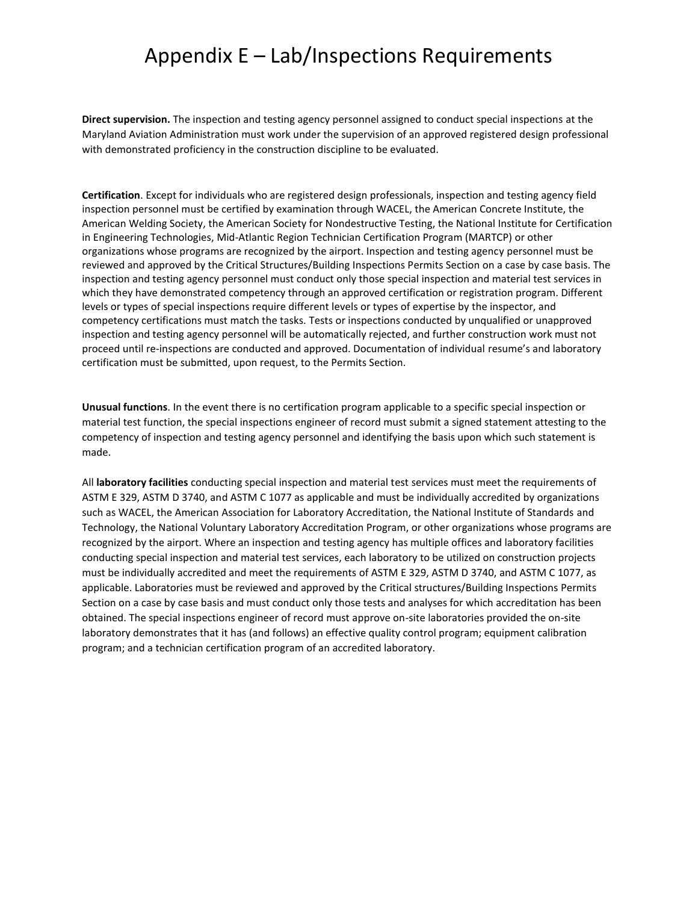### Appendix E – Lab/Inspections Requirements

**Direct supervision.** The inspection and testing agency personnel assigned to conduct special inspections at the Maryland Aviation Administration must work under the supervision of an approved registered design professional with demonstrated proficiency in the construction discipline to be evaluated.

**Certification**. Except for individuals who are registered design professionals, inspection and testing agency field inspection personnel must be certified by examination through WACEL, the American Concrete Institute, the American Welding Society, the American Society for Nondestructive Testing, the National Institute for Certification in Engineering Technologies, Mid-Atlantic Region Technician Certification Program (MARTCP) or other organizations whose programs are recognized by the airport. Inspection and testing agency personnel must be reviewed and approved by the Critical Structures/Building Inspections Permits Section on a case by case basis. The inspection and testing agency personnel must conduct only those special inspection and material test services in which they have demonstrated competency through an approved certification or registration program. Different levels or types of special inspections require different levels or types of expertise by the inspector, and competency certifications must match the tasks. Tests or inspections conducted by unqualified or unapproved inspection and testing agency personnel will be automatically rejected, and further construction work must not proceed until re-inspections are conducted and approved. Documentation of individual resume's and laboratory certification must be submitted, upon request, to the Permits Section.

**Unusual functions**. In the event there is no certification program applicable to a specific special inspection or material test function, the special inspections engineer of record must submit a signed statement attesting to the competency of inspection and testing agency personnel and identifying the basis upon which such statement is made.

All **laboratory facilities** conducting special inspection and material test services must meet the requirements of ASTM E 329, ASTM D 3740, and ASTM C 1077 as applicable and must be individually accredited by organizations such as WACEL, the American Association for Laboratory Accreditation, the National Institute of Standards and Technology, the National Voluntary Laboratory Accreditation Program, or other organizations whose programs are recognized by the airport. Where an inspection and testing agency has multiple offices and laboratory facilities conducting special inspection and material test services, each laboratory to be utilized on construction projects must be individually accredited and meet the requirements of ASTM E 329, ASTM D 3740, and ASTM C 1077, as applicable. Laboratories must be reviewed and approved by the Critical structures/Building Inspections Permits Section on a case by case basis and must conduct only those tests and analyses for which accreditation has been obtained. The special inspections engineer of record must approve on-site laboratories provided the on-site laboratory demonstrates that it has (and follows) an effective quality control program; equipment calibration program; and a technician certification program of an accredited laboratory.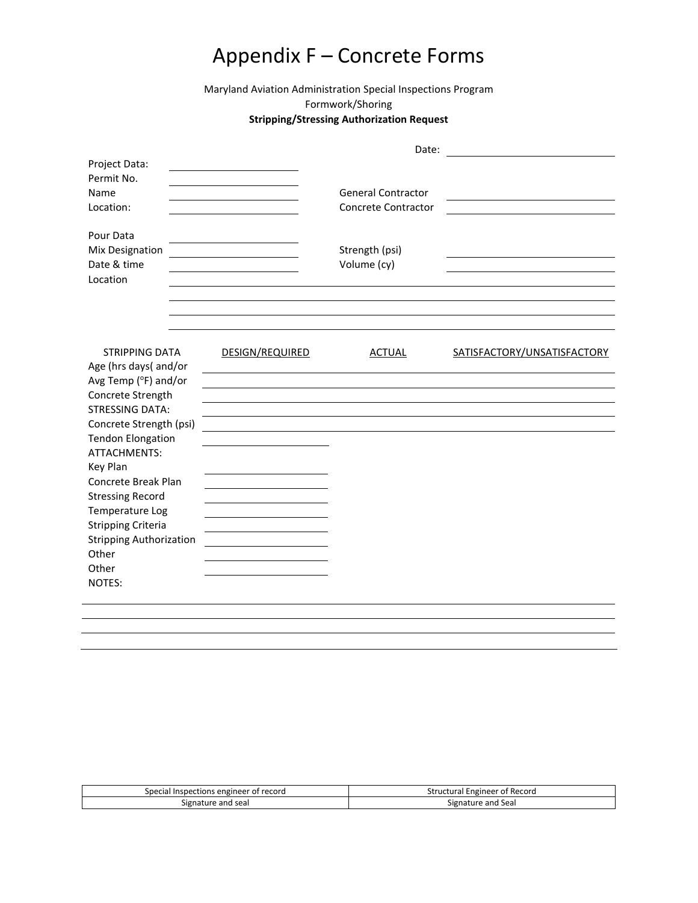## Appendix F – Concrete Forms

Maryland Aviation Administration Special Inspections Program Formwork/Shoring

#### **Stripping/Stressing Authorization Request**

|                                                                                                                                                                                   |                 | Date:                                            |                             |
|-----------------------------------------------------------------------------------------------------------------------------------------------------------------------------------|-----------------|--------------------------------------------------|-----------------------------|
| Project Data:<br>Permit No.<br>Name<br>Location:                                                                                                                                  |                 | <b>General Contractor</b><br>Concrete Contractor |                             |
| Pour Data<br>Mix Designation<br>Date & time<br>Location                                                                                                                           |                 | Strength (psi)<br>Volume (cy)                    |                             |
| <b>STRIPPING DATA</b><br>Age (hrs days( and/or<br>Avg Temp (°F) and/or<br>Concrete Strength<br><b>STRESSING DATA:</b>                                                             | DESIGN/REQUIRED | <b>ACTUAL</b>                                    | SATISFACTORY/UNSATISFACTORY |
| Concrete Strength (psi)<br><b>Tendon Elongation</b><br>ATTACHMENTS:<br>Key Plan<br>Concrete Break Plan<br><b>Stressing Record</b><br>Temperature Log<br><b>Stripping Criteria</b> |                 |                                                  |                             |
| <b>Stripping Authorization</b><br>Other<br>Other<br>NOTES:                                                                                                                        |                 |                                                  |                             |

| Special                          | l Engineer of Record |
|----------------------------------|----------------------|
| l Inspections engineer of record | Structural           |
| Signature and seal               | Signature and Seal   |